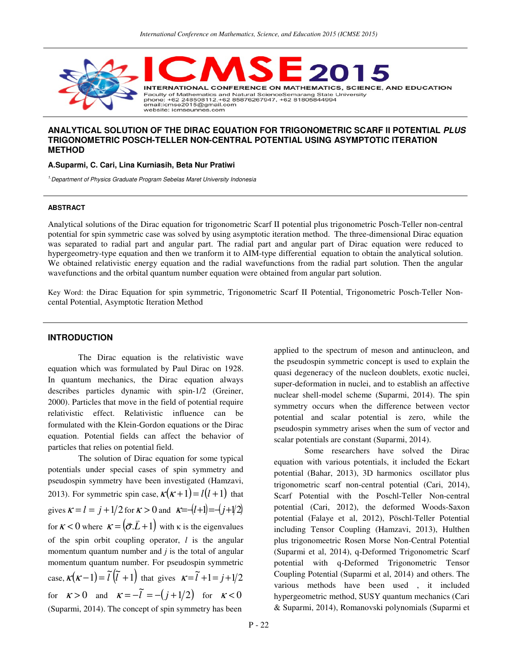

# **ANALYTICAL SOLUTION OF THE DIRAC EQUATION FOR TRIGONOMETRIC SCARF II POTENTIAL PLUS TRIGONOMETRIC POSCH-TELLER NON-CENTRAL POTENTIAL USING ASYMPTOTIC ITERATION METHOD**

#### **A.Suparmi, C. Cari, Lina Kurniasih, Beta Nur Pratiwi**

<sup>1.</sup> Department of Physics Graduate Program Sebelas Maret University Indonesia

#### **ABSTRACT**

Analytical solutions of the Dirac equation for trigonometric Scarf II potential plus trigonometric Posch-Teller non-central potential for spin symmetric case was solved by using asymptotic iteration method. The three-dimensional Dirac equation was separated to radial part and angular part. The radial part and angular part of Dirac equation were reduced to hypergeometry-type equation and then we tranform it to AIM-type differential equation to obtain the analytical solution. We obtained relativistic energy equation and the radial wavefunctions from the radial part solution. Then the angular wavefunctions and the orbital quantum number equation were obtained from angular part solution.

Key Word: the Dirac Equation for spin symmetric, Trigonometric Scarf II Potential, Trigonometric Posch-Teller Noncental Potential, Asymptotic Iteration Method

### **INTRODUCTION**

The Dirac equation is the relativistic wave equation which was formulated by Paul Dirac on 1928. In quantum mechanics, the Dirac equation always describes particles dynamic with spin-1/2 (Greiner, 2000). Particles that move in the field of potential require relativistic effect. Relativistic influence can be formulated with the Klein-Gordon equations or the Dirac equation. Potential fields can affect the behavior of particles that relies on potential field.

The solution of Dirac equation for some typical potentials under special cases of spin symmetry and pseudospin symmetry have been investigated (Hamzavi, 2013). For symmetric spin case,  $\kappa(\kappa+1) = l(l+1)$  that gives  $\kappa = l = j + 1/2$  for  $\kappa > 0$  and  $\kappa = -(l+1) = -(j+1/2)$ for  $\kappa < 0$  where  $\kappa = (\vec{\sigma} . L + 1)$  $\frac{1}{2}$   $\neq$  $\kappa = (\vec{\sigma} \cdot \vec{L} + 1)$  with  $\kappa$  is the eigenvalues of the spin orbit coupling operator, *l* is the angular momentum quantum number and *j* is the total of angular momentum quantum number. For pseudospin symmetric case,  $\kappa(\kappa-1) = \tilde{l}(\tilde{l} + 1)$  that gives  $\kappa = \tilde{l} + 1 = j + 1/2$ for  $\kappa > 0$  and  $\kappa = -\tilde{l} = -(j + 1/2)$  for  $\kappa < 0$ (Suparmi, 2014). The concept of spin symmetry has been

applied to the spectrum of meson and antinucleon, and the pseudospin symmetric concept is used to explain the quasi degeneracy of the nucleon doublets, exotic nuclei, super-deformation in nuclei, and to establish an affective nuclear shell-model scheme (Suparmi, 2014). The spin symmetry occurs when the difference between vector potential and scalar potential is zero, while the pseudospin symmetry arises when the sum of vector and scalar potentials are constant (Suparmi, 2014).

Some researchers have solved the Dirac equation with various potentials, it included the Eckart potential (Bahar, 2013), 3D harmonics oscillator plus trigonometric scarf non-central potential (Cari, 2014), Scarf Potential with the Poschl-Teller Non-central potential (Cari, 2012), the deformed Woods-Saxon potential (Falaye et al, 2012), Pöschl-Teller Potential including Tensor Coupling (Hamzavi, 2013), Hulthen plus trigonomeetric Rosen Morse Non-Central Potential (Suparmi et al, 2014), q-Deformed Trigonometric Scarf potential with q-Deformed Trigonometric Tensor Coupling Potential (Suparmi et al, 2014) and others. The various methods have been used , it included hypergeometric method, SUSY quantum mechanics (Cari & Suparmi, 2014), Romanovski polynomials (Suparmi et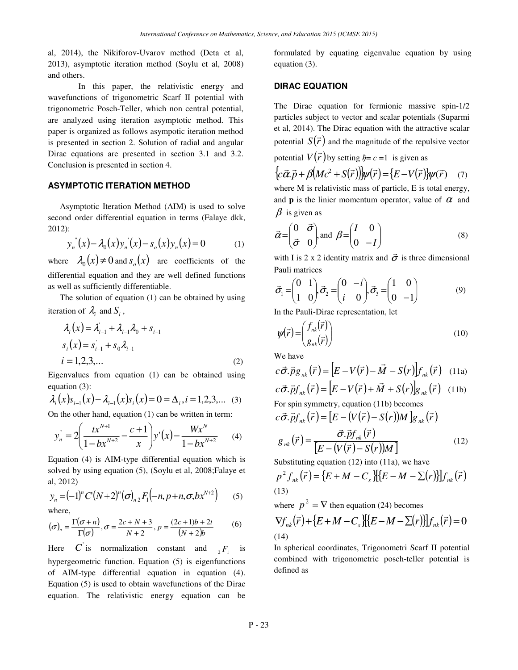al, 2014), the Nikiforov-Uvarov method (Deta et al, 2013), asymptotic iteration method (Soylu et al, 2008) and others.

In this paper, the relativistic energy and wavefunctions of trigonometric Scarf II potential with trigonometric Posch-Teller, which non central potential, are analyzed using iteration asymptotic method. This paper is organized as follows asympotic iteration method is presented in section 2. Solution of radial and angular Dirac equations are presented in section 3.1 and 3.2. Conclusion is presented in section 4.

# **ASYMPTOTIC ITERATION METHOD**

Asymptotic Iteration Method (AIM) is used to solve second order differential equation in terms (Falaye dkk, 2012):

$$
y_n^{(n)}(x) - \lambda_0(x) y_n^{(n)}(x) - s_o(x) y_n(x) = 0 \tag{1}
$$

where  $\lambda_0(x) \neq 0$  and  $s_o(x)$  are coefficients of the differential equation and they are well defined functions as well as sufficiently differentiable.

The solution of equation (1) can be obtained by using iteration of  $\lambda_i$  and  $S_i$ ,

$$
\lambda_i(x) = \lambda_{i-1} + \lambda_{i-1}\lambda_0 + s_{i-1}
$$
  
\n
$$
s_i(x) = s_{i-1} + s_0\lambda_{i-1}
$$
  
\n
$$
i = 1, 2, 3, ...
$$
 (2)

Eigenvalues from equation (1) can be obtained using equation (3):

$$
\lambda_i(x)s_{i-1}(x) - \lambda_{i-1}(x)s_i(x) = 0 = \Delta_i, i = 1, 2, 3, \dots (3)
$$

On the other hand, equation (1) can be written in term:

$$
y_n^{\dagger} = 2\left(\frac{tx^{N+1}}{1 - bx^{N+2}} - \frac{c+1}{x}\right)y^{\dagger}(x) - \frac{Wx^N}{1 - bx^{N+2}} \tag{4}
$$

Equation (4) is AIM-type differential equation which is solved by using equation (5), (Soylu et al, 2008;Falaye et al, 2012)

$$
y_n = (-1)^n C'(N+2)^n (\sigma)_{n2} F_1(-n, p+n, \sigma, bx^{N+2})
$$
 (5)

where,

$$
(\sigma)_n = \frac{\Gamma(\sigma + n)}{\Gamma(\sigma)}, \sigma = \frac{2c + N + 3}{N + 2}, p = \frac{(2c + 1)b + 2t}{(N + 2)b} \tag{6}
$$

Here C is normalization constant and  ${}_{2}F_{1}$  is hypergeometric function. Equation (5) is eigenfunctions of AIM-type differential equation in equation (4). Equation (5) is used to obtain wavefunctions of the Dirac equation. The relativistic energy equation can be

formulated by equating eigenvalue equation by using equation (3).

## **DIRAC EQUATION**

The Dirac equation for fermionic massive spin-1/2 particles subject to vector and scalar potentials (Suparmi et al, 2014). The Dirac equation with the attractive scalar potential  $S(\vec{r})$  $\overline{a}$  and the magnitude of the repulsive vector  $\rightarrow$ 

potential  $V(\vec{r})$ by setting  $\hbar = c = 1$  is given as

$$
\{c\vec{\alpha}.\vec{p} + \beta (Mc^2 + S(\vec{r}))\}\psi(\vec{r}) = \{E - V(\vec{r})\}\psi(\vec{r}) \quad (7)
$$

where M is relativistic mass of particle, E is total energy, and **p** is the linier momentum operator, value of  $\alpha$  and  $\beta$  is given as

$$
\vec{\alpha} = \begin{pmatrix} 0 & \vec{\sigma} \\ \vec{\sigma} & 0 \end{pmatrix} \text{ and } \beta = \begin{pmatrix} I & 0 \\ 0 & -I \end{pmatrix}
$$
 (8)

with I is 2 x 2 identity matrix and  $\vec{\sigma}$  is three dimensional Pauli matrices

$$
\vec{\sigma}_1 = \begin{pmatrix} 0 & 1 \\ 1 & 0 \end{pmatrix} \vec{\sigma}_2 = \begin{pmatrix} 0 & -i \\ i & 0 \end{pmatrix} \vec{\sigma}_3 = \begin{pmatrix} 1 & 0 \\ 0 & -1 \end{pmatrix}
$$
(9)

In the Pauli-Dirac representation, let

$$
\psi(\vec{r}) = \begin{pmatrix} f_{nk}(\vec{r}) \\ g_{nk}(\vec{r}) \end{pmatrix}
$$
\n(10)

We have

we have  
\n
$$
c\vec{\sigma} \cdot \vec{p}g_{nk}(\vec{r}) = [E - V(\vec{r}) - \vec{M} - S(r)]f_{nk}(\vec{r}) \quad (11a)
$$
\n
$$
c\vec{\sigma} \cdot \vec{p}f_{nk}(\vec{r}) = [E - V(\vec{r}) + \vec{M} + S(r)]g_{nk}(\vec{r}) \quad (11b)
$$

For spin symmetry, equation (11b) becomes

$$
c\vec{\sigma}.\vec{p}f_{nk}(\vec{r}) = [E - (V(\vec{r}) - S(r))M]g_{nk}(\vec{r})
$$

$$
g_{nk}(\vec{r}) = \frac{\vec{\sigma}.\vec{p}f_{nk}(\vec{r})}{\left[E - (V(\vec{r}) - S(r))M\right]}
$$
(12)

Substituting equation (12) into (11a), we have  $\frac{2}{5}$   $\frac{2}{5}$   $\frac{2}{5}$   $\frac{2}{5}$   $\frac{2}{5}$   $\frac{2}{5}$   $\frac{2}{5}$   $\frac{2}{5}$   $\frac{2}{5}$   $\frac{2}{5}$   $\frac{2}{5}$   $\frac{2}{5}$   $\frac{2}{5}$   $\frac{2}{5}$   $\frac{2}{5}$   $\frac{2}{5}$   $\frac{2}{5}$   $\frac{$ 

$$
p^{2} f_{nk}(\vec{r}) = \{ E + M - C_{s} \} \{ E - M - \sum(r) \} \} f_{nk}(\vec{r})
$$
\n(13)

where  $p^2 = \nabla$  then equation (24) becomes

$$
\nabla f_{nk}(\vec{r}) + \{E + M - C_s\} [\{E - M - \sum(r)\}] f_{nk}(\vec{r}) = 0
$$
\n(14)

In spherical coordinates, Trigonometri Scarf II potential combined with trigonometric posch-teller potential is defined as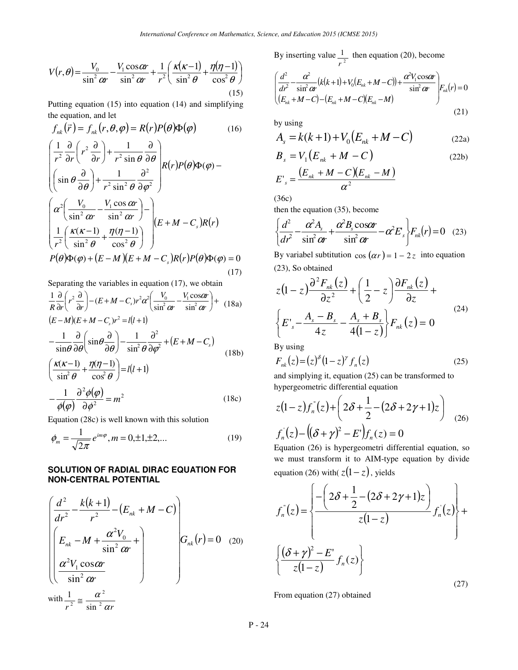$$
V(r,\theta) = \frac{V_0}{\sin^2 \omega r} - \frac{V_1 \cos \omega r}{\sin^2 \omega r} + \frac{1}{r^2} \left( \frac{\kappa(\kappa - 1)}{\sin^2 \theta} + \frac{\eta(\eta - 1)}{\cos^2 \theta} \right)
$$
(15)

Putting equation (15) into equation (14) and simplifying the equation, and let

$$
f_{nk}(\vec{r}) = f_{nk}(r, \theta, \varphi) = R(r)P(\theta)\Phi(\varphi)
$$
(16)  

$$
\left(\frac{1}{r^2} \frac{\partial}{\partial r} \left(r^2 \frac{\partial}{\partial r}\right) + \frac{1}{r^2 \sin \theta} \frac{\partial}{\partial \theta}\right) R(r)P(\theta)\Phi(\varphi) -
$$
  

$$
\left(\sin \theta \frac{\partial}{\partial \theta}\right) + \frac{1}{r^2 \sin^2 \theta} \frac{\partial^2}{\partial \varphi^2}
$$
  

$$
\left(\alpha^2 \left(\frac{V_0}{\sin^2 \alpha r} - \frac{V_1 \cos \alpha r}{\sin^2 \alpha r}\right) - \frac{V_1 \cos \alpha r}{\cos^2 \theta}\right) \left(E + M - C_s\right)R(r)
$$
  

$$
\frac{1}{r^2} \left(\frac{\kappa(\kappa - 1)}{\sin^2 \theta} + \frac{\eta(\eta - 1)}{\cos^2 \theta}\right) \left(E + M - C_s\right)R(r)P(\theta)\Phi(\varphi) = 0
$$
  
(17)

Separating the variables in equation (17), we obtain

$$
\frac{1}{R}\frac{\partial}{\partial r}\left(r^{2}\frac{\partial}{\partial r}\right) - (E+M-C_{s})r^{2}\alpha^{2}\left(\frac{V_{0}}{\sin^{2}\alpha r} - \frac{V_{1}\cos\alpha r}{\sin^{2}\alpha r}\right) + (18a)
$$
\n
$$
(E-M)(E+M-C_{s})r^{2} = l(l+1)
$$
\n
$$
-\frac{1}{\sin\theta}\frac{\partial}{\partial\theta}\left(\sin\theta\frac{\partial}{\partial\theta}\right) - \frac{1}{\sin^{2}\theta}\frac{\partial^{2}}{\partial\phi^{2}} + (E+M-C_{s})
$$
\n
$$
\left(\frac{K(K-1)}{\sin^{2}\theta} + \frac{\eta(\eta-1)}{\cos^{2}\theta}\right) = l(l+1)
$$
\n
$$
-\frac{1}{\sqrt{2\pi}}\frac{\partial^{2}\phi(\phi)}{\partial\phi^{2}} = m^{2}
$$
\n
$$
(18c)
$$

Equation 
$$
(28c)
$$
 is well known with this solution

$$
\phi_m = \frac{1}{\sqrt{2\pi}} e^{im\varphi}, m = 0, \pm 1, \pm 2, \dots
$$
 (19)

# **SOLUTION OF RADIAL DIRAC EQUATION FOR NON-CENTRAL POTENTIAL**

$$
\begin{pmatrix}\n\frac{d^2}{dr^2} - \frac{k(k+1)}{r^2} - (E_{nk} + M - C) \\
E_{nk} - M + \frac{\alpha^2 V_0}{\sin^2 \alpha r} + \frac{\alpha^2 V_1 \cos \alpha r}{\sin^2 \alpha r}\n\end{pmatrix} G_{nk}(r) = 0 \quad (20)
$$

with  $r^2$  sin<sup>2</sup> ar 2  $2 - \sin$  $\frac{1}{2}$ 

 $\overline{(\varphi)}$ 

 $\phi(\varphi)$ 

2

φ

∂

By inserting value  $\frac{1}{r^2}$ *r* then equation (20), become

$$
\left(\frac{d^2}{dr^2} - \frac{\alpha^2}{\sin^2 \alpha r} (k(k+1) + V_0(E_{nk} + M - C)) + \frac{\alpha^2 V_1 \cos \alpha r}{\sin^2 \alpha r} \right) F_{nk}(r) = 0
$$
\n
$$
(E_{nk} + M - C) - (E_{nk} + M - C)(E_{nk} - M)
$$
\n(21)

by using

$$
A_s = k(k+1) + V_0(E_{nk} + M - C)
$$
 (22a)

$$
B_s = V_1 \left( E_{nk} + M - C \right) \tag{22b}
$$
\n
$$
\left( E_{nk} + M - C \right) \left( E_{nk} - M \right) \tag{22b}
$$

$$
E'_{s} = \frac{(E_{nk} + M - C)(E_{nk} - M)}{\alpha^2}
$$

(36c)

then the equation (35), become

$$
\left\{\frac{d^2}{dr^2} - \frac{\alpha^2 A_s}{\sin^2 \alpha r} + \frac{\alpha^2 B_s \cos \alpha r}{\sin^2 \alpha r} - \alpha^2 E_s \right\} F_{nk}(r) = 0 \quad (23)
$$

By variabel subtitution  $\cos(\alpha r) = 1 - 2z$  into equation (23), So obtained

$$
z(1-z)\frac{\partial^2 F_{nk}(z)}{\partial z^2} + \left(\frac{1}{2} - z\right)\frac{\partial F_{nk}(z)}{\partial z} +
$$
  

$$
\left\{E'_{s} - \frac{A_{s} - B_{s}}{4z} - \frac{A_{s} + B_{s}}{4(1-z)}\right\} F_{nk}(z) = 0
$$
 (24)

By using

$$
F_{nk}(z) = (z)^{\delta} (1 - z)^{\gamma} f_n(z)
$$
 (25)

and simplying it, equation (25) can be transformed to hypergeometric differential equation

$$
z(1-z)f_n^{\dagger}(z) + \left(2\delta + \frac{1}{2} - (2\delta + 2\gamma + 1)z\right)
$$
  

$$
f_n^{\dagger}(z) - \left((\delta + \gamma)^2 - E^{\dagger}\right)f_n(z) = 0
$$
 (26)

 Equation (26) is hypergeometri differential equation, so we must transform it to AIM-type equation by divide equation (26) with( $z(1-z)$ , yields

$$
f_n^{\dagger}(z) = \left\{ \frac{-\left(2\delta + \frac{1}{2} - (2\delta + 2\gamma + 1)z\right)}{z(1-z)} f_n(z) \right\} + \left\{ \frac{(\delta + \gamma)^2 - E^{\dagger}}{z(1-z)} f_n(z) \right\}
$$
(27)

From equation (27) obtained

P - 24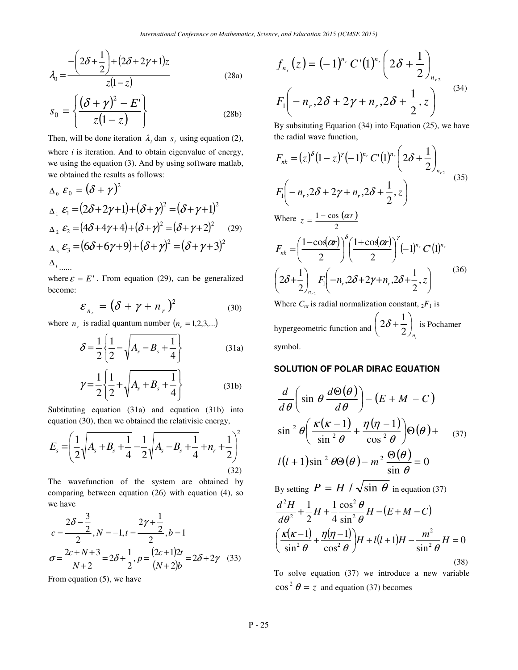$$
\lambda_0 = \frac{-\left(2\delta + \frac{1}{2}\right) + \left(2\delta + 2\gamma + 1\right)z}{z(1-z)}
$$
(28a)

$$
s_0 = \left\{ \frac{(\delta + \gamma)^2 - E^*}{z(1 - z)} \right\}
$$
 (28b)

Then, will be done iteration  $\lambda_i$  dan  $s_i$  using equation (2), where *i* is iteration. And to obtain eigenvalue of energy, we using the equation (3). And by using software matlab, we obtained the results as follows:

$$
\Delta_0 \mathcal{E}_0 = (\delta + \gamma)^2
$$
  
\n
$$
\Delta_1 \mathcal{E}_1 = (2\delta + 2\gamma + 1) + (\delta + \gamma)^2 = (\delta + \gamma + 1)^2
$$
  
\n
$$
\Delta_2 \mathcal{E}_2 = (4\delta + 4\gamma + 4) + (\delta + \gamma)^2 = (\delta + \gamma + 2)^2 \quad (29)
$$
  
\n
$$
\Delta_3 \mathcal{E}_3 = (6\delta + 6\gamma + 9) + (\delta + \gamma)^2 = (\delta + \gamma + 3)^2
$$
  
\n
$$
\Delta_{i_{\text{max}}}
$$

where  $\varepsilon = E'$ . From equation (29), can be generalized become:

$$
\mathcal{E}_{n_r} = (\delta + \gamma + n_r)^2 \tag{30}
$$

where  $n_r$  is radial quantum number  $(n_r = 1, 2, 3, ...)$ 

$$
\delta = \frac{1}{2} \left\{ \frac{1}{2} - \sqrt{A_s - B_s + \frac{1}{4}} \right\}
$$
 (31a)

$$
\gamma = \frac{1}{2} \left\{ \frac{1}{2} + \sqrt{A_s + B_s + \frac{1}{4}} \right\}
$$
 (31b)

Subtituting equation (31a) and equation (31b) into equation (30), then we obtained the relativisic energy,

$$
E_s = \left(\frac{1}{2}\sqrt{A_s + B_s + \frac{1}{4} - \frac{1}{2}\sqrt{A_s - B_s + \frac{1}{4} + n_r + \frac{1}{2}}}\right)^2
$$
\n(32)

The wavefunction of the system are obtained by comparing between equation (26) with equation (4), so we have

$$
c = \frac{2\delta - \frac{3}{2}}{2}, N = -1, t = \frac{2\gamma + \frac{1}{2}}{2}, b = 1
$$
  

$$
\sigma = \frac{2c + N + 3}{N + 2} = 2\delta + \frac{1}{2}, p = \frac{(2c + 1)2t}{(N + 2)b} = 2\delta + 2\gamma
$$
 (33)

From equation (5), we have

$$
f_{n_r}(z) = (-1)^{n_r} C'(1)^{n_r} \left( 2\delta + \frac{1}{2} \right)_{n_{r2}}
$$
  

$$
F_1 \left( -n_r, 2\delta + 2\gamma + n_r, 2\delta + \frac{1}{2}, z \right)
$$
<sup>(34)</sup>

By subsituting Equation (34) into Equation (25), we have the radial wave function,

$$
F_{nk} = (z)^{\delta} (1 - z)^{\gamma} (-1)^{n_r} C'(1)^{n_r} \left( 2\delta + \frac{1}{2} \right)_{n_{r2}}
$$
\n
$$
F_{1} \left( -n_{r}, 2\delta + 2\gamma + n_{r}, 2\delta + \frac{1}{2}, z \right)
$$
\nWhere  $z = \frac{1 - \cos(\alpha r)}{2}$ 

\n
$$
F_{nk} = \left( \frac{1 - \cos(\alpha r)}{2} \right)^{\delta} \left( \frac{1 + \cos(\alpha r)}{2} \right)^{\gamma} (-1)^{n_r} C'(1)^{n_r}
$$
\n
$$
\left( 2\delta + \frac{1}{2} \right)_{n_{r2}} F_{1} \left( -n_{r}, 2\delta + 2\gamma + n_{r}, 2\delta + \frac{1}{2}, z \right)
$$
\nWhere  $C_{nr}$  is radial normalization constant,  $2F_{1}$  is

\n
$$
\left( 2\delta + 1 \right)_{n_{r2}} = \left( 2\delta + 1 \right)_{n_{r2}} \left( 2\delta + 1 \right)_{n_{r2}} = \left( 2\delta + 1 \right)_{n_{r2}} \left( 2\delta + 1 \right)_{n_{r2}} = \left( 2\delta + 1 \right)_{n_{r2}} \left( 2\delta + 1 \right)
$$

hypergeometric function and  $\begin{pmatrix} 2\mathbf{0} & 1 \\ 2\end{pmatrix}_{n}$  $\overline{\phantom{a}}$ J  $\left(2\delta+\frac{1}{2}\right)$  $\setminus$ + 2  $2\delta + \frac{1}{2}$  is Pochamer symbol.

# **SOLUTION OF POLAR DIRAC EQUATION**

$$
\frac{d}{d\theta} \left( \sin \theta \frac{d\Theta(\theta)}{d\theta} \right) - (E + M - C)
$$
  

$$
\sin^2 \theta \left( \frac{\kappa(\kappa - 1)}{\sin^2 \theta} + \frac{\eta(\eta - 1)}{\cos^2 \theta} \right) \Theta(\theta) + (37)
$$
  

$$
l(l+1)\sin^2 \theta \Theta(\theta) - m^2 \frac{\Theta(\theta)}{\sin \theta} = 0
$$

By setting  $P = H / \sqrt{\sin \theta}$  in equation (37)

$$
\frac{d^2H}{d\theta^2} + \frac{1}{2}H + \frac{1}{4}\frac{\cos^2\theta}{\sin^2\theta}H - (E+M-C)
$$

$$
\left(\frac{\kappa(\kappa-1)}{\sin^2\theta} + \frac{\eta(\eta-1)}{\cos^2\theta}\right)H + l(l+1)H - \frac{m^2}{\sin^2\theta}H = 0
$$
(38)

To solve equation (37) we introduce a new variable  $\cos^2 \theta = z$  and equation (37) becomes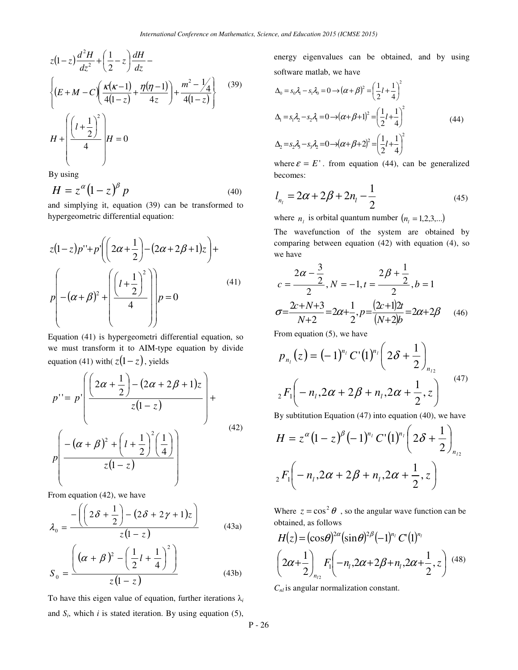$$
z(1-z)\frac{d^2H}{dz^2} + \left(\frac{1}{2} - z\right)\frac{dH}{dz} -
$$
\n
$$
\left\{ (E+M-C)\left(\frac{\kappa(\kappa-1)}{4(1-z)} + \frac{\eta(\eta-1)}{4z}\right) + \frac{m^2 - \frac{1}{4}}{4(1-z)} \right\}
$$
\n
$$
H + \left( \frac{\left(1 + \frac{1}{2}\right)^2}{4} \right)H = 0
$$
\n(39)

By using

$$
H = z^{\alpha} (1 - z)^{\beta} p \tag{40}
$$

and simplying it, equation (39) can be transformed to hypergeometric differential equation:

$$
z(1-z)p''+p'\left(\left(2\alpha+\frac{1}{2}\right)-(2\alpha+2\beta+1)z\right)+
$$
  

$$
p\left|-(\alpha+\beta)^2+\left(\frac{\left(l+\frac{1}{2}\right)^2}{4}\right)\right|p=0
$$
 (41)

Equation (41) is hypergeometri differential equation, so we must transform it to AIM-type equation by divide equation (41) with( $z(1-z)$ , yields

$$
p'' = p'\left(\frac{\left(2\alpha + \frac{1}{2}\right) - \left(2\alpha + 2\beta + 1\right)z}{z(1-z)}\right) +
$$
  

$$
p\left(\frac{-\left(\alpha + \beta\right)^2 + \left(l + \frac{1}{2}\right)^2\left(\frac{1}{4}\right)}{z(1-z)}\right)
$$
(42)

From equation (42), we have

$$
\lambda_0 = \frac{-\left(\left(2\delta + \frac{1}{2}\right) - \left(2\delta + 2\gamma + 1\right)z\right)}{z\left(1 - z\right)}\tag{43a}
$$

$$
S_0 = \frac{\left((\alpha + \beta)^2 - \left(\frac{1}{2}l + \frac{1}{4}\right)^2\right)}{z(1 - z)}
$$
(43b)

To have this eigen value of equation, further iterations  $\lambda_i$ and  $S_i$ , which *i* is stated iteration. By using equation (5), energy eigenvalues can be obtained, and by using software matlab, we have

$$
\Delta_0 = s_0 \lambda_1 - s_1 \lambda_0 = 0 \rightarrow (\alpha + \beta)^2 = \left(\frac{1}{2}l + \frac{1}{4}\right)^2
$$
  
\n
$$
\Delta_1 = s_1 \lambda_2 - s_2 \lambda_1 = 0 \rightarrow (\alpha + \beta + 1)^2 = \left(\frac{1}{2}l + \frac{1}{4}\right)^2
$$
  
\n
$$
\Delta_2 = s_2 \lambda_3 - s_3 \lambda_2 = 0 \rightarrow (\alpha + \beta + 2)^2 = \left(\frac{1}{2}l + \frac{1}{4}\right)^2
$$
  
\n(44)

where  $\varepsilon = E'$ . from equation (44), can be generalized becomes:  $\overline{1}$ 

$$
l_{n_l} = 2\alpha + 2\beta + 2n_l - \frac{1}{2}
$$
 (45)

where  $n_l$  is orbital quantum number  $(n_l = 1, 2, 3, \ldots)$ 

The wavefunction of the system are obtained by comparing between equation (42) with equation (4), so we have

$$
c = \frac{2\alpha - \frac{3}{2}}{2}, N = -1, t = \frac{2\beta + \frac{1}{2}}{2}, b = 1
$$

$$
\sigma = \frac{2c + N + 3}{N + 2} = 2\alpha + \frac{1}{2}, p = \frac{(2c + 1)2t}{(N + 2)b} = 2\alpha + 2\beta \qquad (46)
$$

From equation (5), we have

$$
p_{n_l}(z) = (-1)^{n_l} C'(1)^{n_l} \left( 2\delta + \frac{1}{2} \right)_{n_{l_2}}
$$
  

$$
{}_2F_1 \left( -n_l, 2\alpha + 2\beta + n_l, 2\alpha + \frac{1}{2}, z \right)
$$
<sup>(47)</sup>

By subtitution Equation (47) into equation (40), we have

$$
H = z^{\alpha} (1 - z)^{\beta} (-1)^{n_l} C'(1)^{n_l} \left( 2\delta + \frac{1}{2} \right)_{n_{l_2}}
$$
  

$$
{}_2F_1 \left( -n_l, 2\alpha + 2\beta + n_l, 2\alpha + \frac{1}{2}, z \right)
$$

Where  $z = \cos^2 \theta$ , so the angular wave function can be obtained, as follows

$$
H(z) = (\cos \theta)^{2\alpha} (\sin \theta)^{2\beta} (-1)^{n_l} C' (1)^{n_l}
$$
  

$$
\left(2\alpha + \frac{1}{2}\right)_{n_{l_2}} F_1 \left(-n_l, 2\alpha + 2\beta + n_l, 2\alpha + \frac{1}{2}, z\right)
$$
 (48)

*Cnl* is angular normalization constant.

P - 26